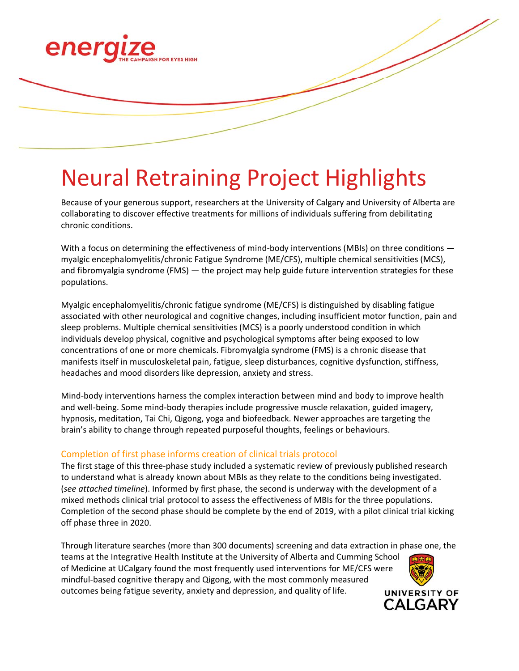

## Neural Retraining Project Highlights

Because of your generous support, researchers at the University of Calgary and University of Alberta are collaborating to discover effective treatments for millions of individuals suffering from debilitating chronic conditions.

With a focus on determining the effectiveness of mind-body interventions (MBIs) on three conditions myalgic encephalomyelitis/chronic Fatigue Syndrome (ME/CFS), multiple chemical sensitivities (MCS), and fibromyalgia syndrome (FMS) — the project may help guide future intervention strategies for these populations.

Myalgic encephalomyelitis/chronic fatigue syndrome (ME/CFS) is distinguished by disabling fatigue associated with other neurological and cognitive changes, including insufficient motor function, pain and sleep problems. Multiple chemical sensitivities (MCS) is a poorly understood condition in which individuals develop physical, cognitive and psychological symptoms after being exposed to low concentrations of one or more chemicals. Fibromyalgia syndrome (FMS) is a chronic disease that manifests itself in musculoskeletal pain, fatigue, sleep disturbances, cognitive dysfunction, stiffness, headaches and mood disorders like depression, anxiety and stress.

Mind‐body interventions harness the complex interaction between mind and body to improve health and well-being. Some mind-body therapies include progressive muscle relaxation, guided imagery, hypnosis, meditation, Tai Chi, Qigong, yoga and biofeedback. Newer approaches are targeting the brain's ability to change through repeated purposeful thoughts, feelings or behaviours.

## Completion of first phase informs creation of clinical trials protocol

The first stage of this three‐phase study included a systematic review of previously published research to understand what is already known about MBIs as they relate to the conditions being investigated. (*see attached timeline*). Informed by first phase, the second is underway with the development of a mixed methods clinical trial protocol to assess the effectiveness of MBIs for the three populations. Completion of the second phase should be complete by the end of 2019, with a pilot clinical trial kicking off phase three in 2020.

Through literature searches (more than 300 documents) screening and data extraction in phase one, the teams at the Integrative Health Institute at the University of Alberta and Cumming School of Medicine at UCalgary found the most frequently used interventions for ME/CFS were mindful‐based cognitive therapy and Qigong, with the most commonly measured outcomes being fatigue severity, anxiety and depression, and quality of life. **UNIVERSITY OF** 

CALGARY